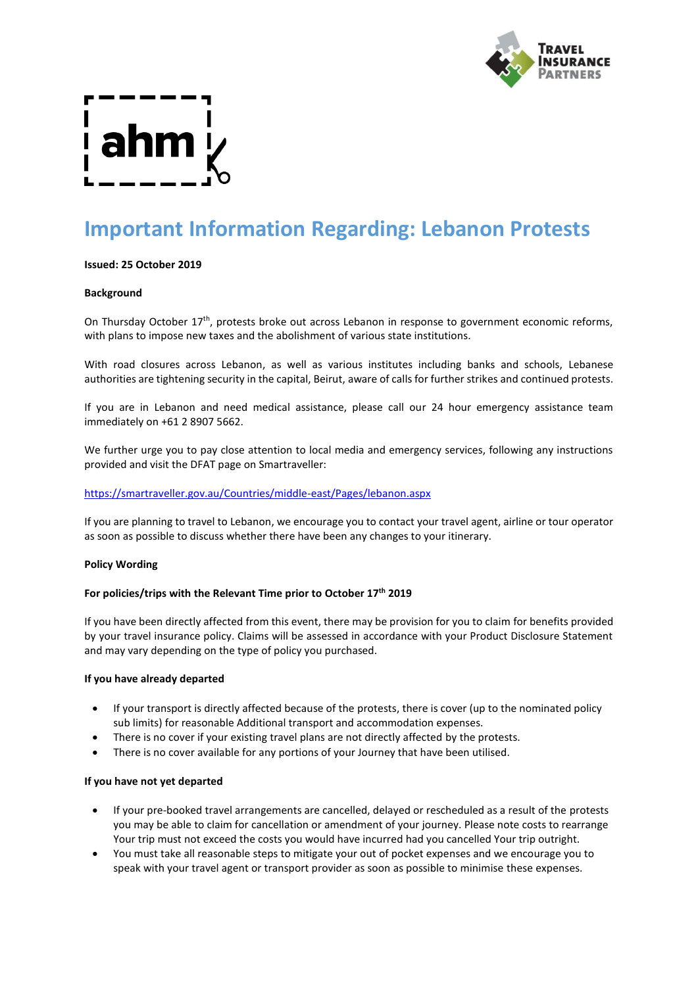

# **Important Information Regarding: Lebanon Protests**

### **Issued: 25 October 2019**

#### **Background**

On Thursday October 17<sup>th</sup>, protests broke out across Lebanon in response to government economic reforms, with plans to impose new taxes and the abolishment of various state institutions.

With road closures across Lebanon, as well as various institutes including banks and schools, Lebanese authorities are tightening security in the capital, Beirut, aware of calls for further strikes and continued protests.

If you are in Lebanon and need medical assistance, please call our 24 hour emergency assistance team immediately on +61 2 8907 5662.

We further urge you to pay close attention to local media and emergency services, following any instructions provided and visit the DFAT page on Smartraveller:

### <https://smartraveller.gov.au/Countries/middle-east/Pages/lebanon.aspx>

If you are planning to travel to Lebanon, we encourage you to contact your travel agent, airline or tour operator as soon as possible to discuss whether there have been any changes to your itinerary.

#### **Policy Wording**

# **For policies/trips with the Relevant Time prior to October 17 th 2019**

If you have been directly affected from this event, there may be provision for you to claim for benefits provided by your travel insurance policy. Claims will be assessed in accordance with your Product Disclosure Statement and may vary depending on the type of policy you purchased.

#### **If you have already departed**

- If your transport is directly affected because of the protests, there is cover (up to the nominated policy sub limits) for reasonable Additional transport and accommodation expenses.
- There is no cover if your existing travel plans are not directly affected by the protests.
- There is no cover available for any portions of your Journey that have been utilised.

#### **If you have not yet departed**

- If your pre-booked travel arrangements are cancelled, delayed or rescheduled as a result of the protests you may be able to claim for cancellation or amendment of your journey. Please note costs to rearrange Your trip must not exceed the costs you would have incurred had you cancelled Your trip outright.
- You must take all reasonable steps to mitigate your out of pocket expenses and we encourage you to speak with your travel agent or transport provider as soon as possible to minimise these expenses.